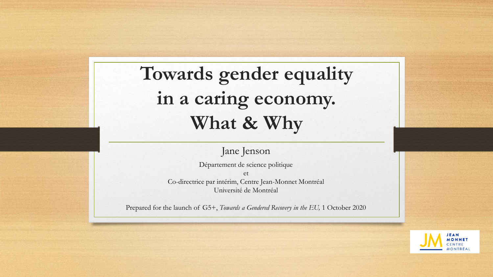## **Towards gender equality in a caring economy. What & Why**

Jane Jenson

Département de science politique et Co-directrice par intérim, Centre Jean-Monnet Montréal Université de Montréal

Prepared for the launch of G5+, *Towards a Gendered Recovery in the EU,* 1 October 2020

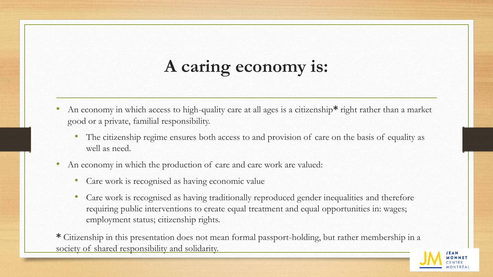## **A caring economy is:**

- An economy in which access to high-quality care at all ages is a citizenship**\*** right rather than a market good or a private, familial responsibility.
	- The citizenship regime ensures both access to and provision of care on the basis of equality as well as need.
- An economy in which the production of care and care work are valued:
	- Care work is recognised as having economic value
	- Care work is recognised as having traditionally reproduced gender inequalities and therefore requiring public interventions to create equal treatment and equal opportunities in: wages; employment status; citizenship rights.

**\*** Citizenship in this presentation does not mean formal passport-holding, but rather membership in a society of shared responsibility and solidarity.

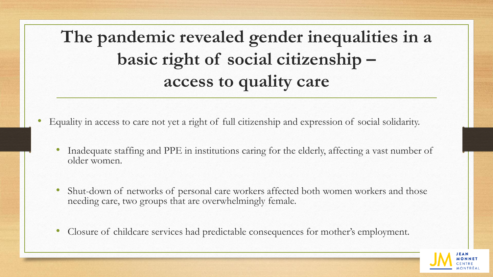**The pandemic revealed gender inequalities in a basic right of social citizenship – access to quality care**

- Equality in access to care not yet a right of full citizenship and expression of social solidarity.
	- Inadequate staffing and PPE in institutions caring for the elderly, affecting a vast number of older women.
	- Shut-down of networks of personal care workers affected both women workers and those needing care, two groups that are overwhelmingly female.
	- Closure of childcare services had predictable consequences for mother's employment.

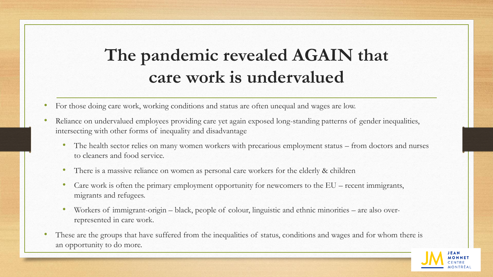## **The pandemic revealed AGAIN that care work is undervalued**

- For those doing care work, working conditions and status are often unequal and wages are low.
- Reliance on undervalued employees providing care yet again exposed long-standing patterns of gender inequalities, intersecting with other forms of inequality and disadvantage
	- The health sector relies on many women workers with precarious employment status from doctors and nurses to cleaners and food service.
	- There is a massive reliance on women as personal care workers for the elderly & children
	- Care work is often the primary employment opportunity for newcomers to the EU recent immigrants, migrants and refugees.
	- Workers of immigrant-origin black, people of colour, linguistic and ethnic minorities are also overrepresented in care work.
- These are the groups that have suffered from the inequalities of status, conditions and wages and for whom there is an opportunity to do more.

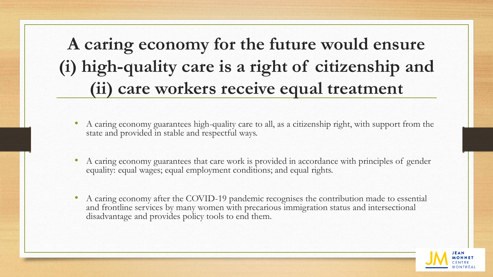**A caring economy for the future would ensure (i) high-quality care is a right of citizenship and (ii) care workers receive equal treatment**

- A caring economy guarantees high-quality care to all, as a citizenship right, with support from the state and provided in stable and respectful ways.
- A caring economy guarantees that care work is provided in accordance with principles of gender equality: equal wages; equal employment conditions; and equal rights.
- A caring economy after the COVID-19 pandemic recognises the contribution made to essential and frontline services by many women with precarious immigration status and intersectional disadvantage and provides policy tools to end them.